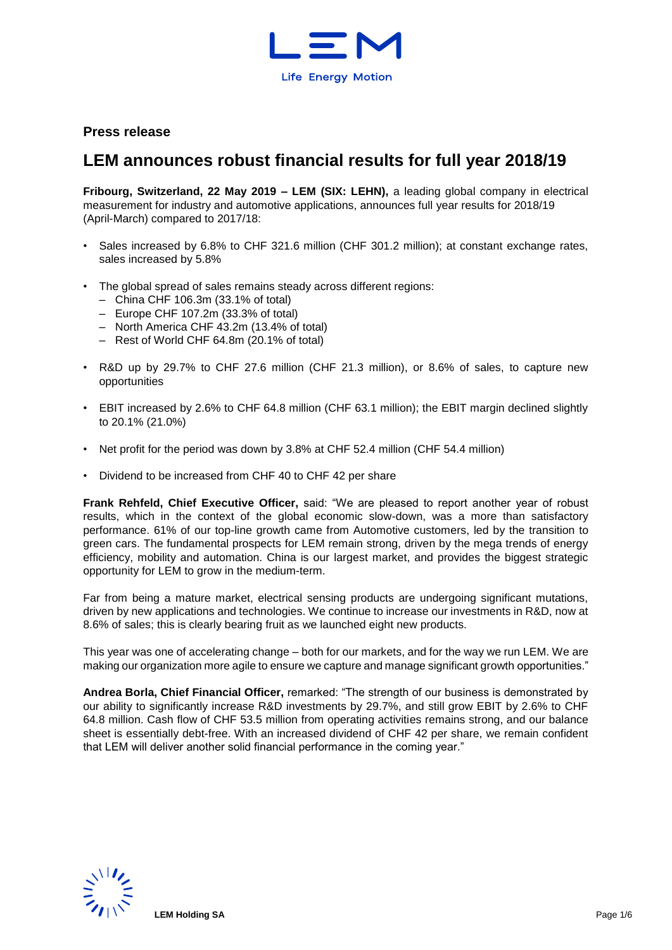

## **Press release**

# **LEM announces robust financial results for full year 2018/19**

**Fribourg, Switzerland, 22 May 2019 – LEM (SIX: LEHN),** a leading global company in electrical measurement for industry and automotive applications, announces full year results for 2018/19 (April-March) compared to 2017/18:

- Sales increased by 6.8% to CHF 321.6 million (CHF 301.2 million); at constant exchange rates, sales increased by 5.8%
- The global spread of sales remains steady across different regions:
	- China CHF 106.3m (33.1% of total)
	- Europe CHF 107.2m (33.3% of total)
	- North America CHF 43.2m (13.4% of total)
	- Rest of World CHF 64.8m (20.1% of total)
- R&D up by 29.7% to CHF 27.6 million (CHF 21.3 million), or 8.6% of sales, to capture new opportunities
- EBIT increased by 2.6% to CHF 64.8 million (CHF 63.1 million); the EBIT margin declined slightly to 20.1% (21.0%)
- Net profit for the period was down by 3.8% at CHF 52.4 million (CHF 54.4 million)
- Dividend to be increased from CHF 40 to CHF 42 per share

**Frank Rehfeld, Chief Executive Officer,** said: "We are pleased to report another year of robust results, which in the context of the global economic slow-down, was a more than satisfactory performance. 61% of our top-line growth came from Automotive customers, led by the transition to green cars. The fundamental prospects for LEM remain strong, driven by the mega trends of energy efficiency, mobility and automation. China is our largest market, and provides the biggest strategic opportunity for LEM to grow in the medium-term.

Far from being a mature market, electrical sensing products are undergoing significant mutations, driven by new applications and technologies. We continue to increase our investments in R&D, now at 8.6% of sales; this is clearly bearing fruit as we launched eight new products.

This year was one of accelerating change – both for our markets, and for the way we run LEM. We are making our organization more agile to ensure we capture and manage significant growth opportunities."

**Andrea Borla, Chief Financial Officer,** remarked: "The strength of our business is demonstrated by our ability to significantly increase R&D investments by 29.7%, and still grow EBIT by 2.6% to CHF 64.8 million. Cash flow of CHF 53.5 million from operating activities remains strong, and our balance sheet is essentially debt-free. With an increased dividend of CHF 42 per share, we remain confident that LEM will deliver another solid financial performance in the coming year."

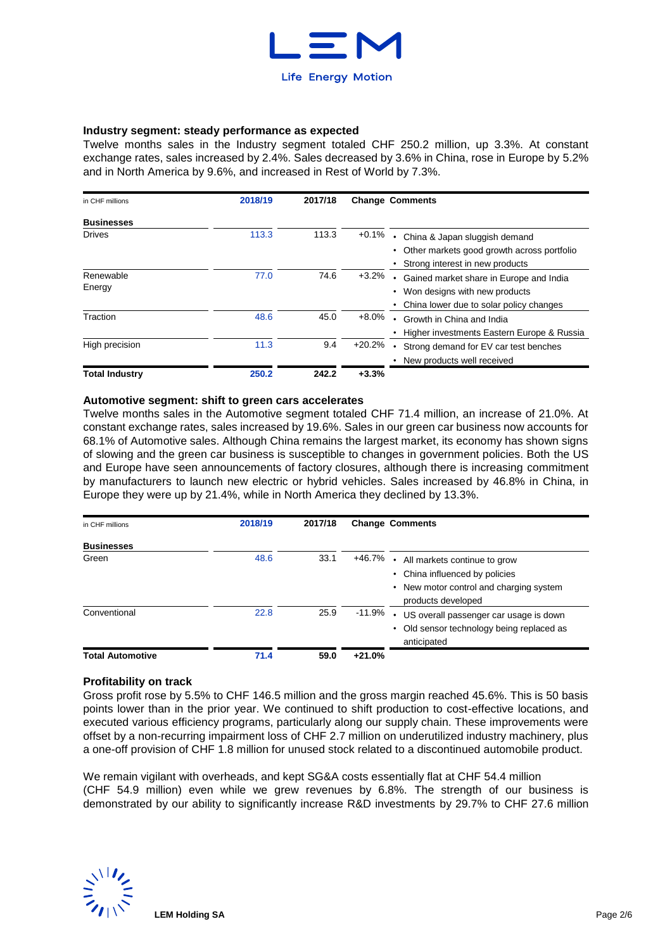

#### **Industry segment: steady performance as expected**

Twelve months sales in the Industry segment totaled CHF 250.2 million, up 3.3%. At constant exchange rates, sales increased by 2.4%. Sales decreased by 3.6% in China, rose in Europe by 5.2% and in North America by 9.6%, and increased in Rest of World by 7.3%.

| in CHF millions       | 2018/19 | 2017/18 |          | <b>Change Comments</b>                     |
|-----------------------|---------|---------|----------|--------------------------------------------|
| <b>Businesses</b>     |         |         |          |                                            |
| <b>Drives</b>         | 113.3   | 113.3   | $+0.1%$  | China & Japan sluggish demand<br>$\bullet$ |
|                       |         |         |          | Other markets good growth across portfolio |
|                       |         |         |          | Strong interest in new products            |
| Renewable             | 77.0    | 74.6    | $+3.2%$  | Gained market share in Europe and India    |
| Energy                |         |         |          | Won designs with new products              |
|                       |         |         |          | China lower due to solar policy changes    |
| Traction              | 48.6    | 45.0    | $+8.0%$  | Growth in China and India                  |
|                       |         |         |          | Higher investments Eastern Europe & Russia |
| High precision        | 11.3    | 9.4     | $+20.2%$ | Strong demand for EV car test benches      |
|                       |         |         |          | New products well received                 |
| <b>Total Industry</b> | 250.2   | 242.2   | $+3.3%$  |                                            |

### **Automotive segment: shift to green cars accelerates**

Twelve months sales in the Automotive segment totaled CHF 71.4 million, an increase of 21.0%. At constant exchange rates, sales increased by 19.6%. Sales in our green car business now accounts for 68.1% of Automotive sales. Although China remains the largest market, its economy has shown signs of slowing and the green car business is susceptible to changes in government policies. Both the US and Europe have seen announcements of factory closures, although there is increasing commitment by manufacturers to launch new electric or hybrid vehicles. Sales increased by 46.8% in China, in Europe they were up by 21.4%, while in North America they declined by 13.3%.

| in CHF millions            | 2018/19 | 2017/18 | <b>Change Comments</b>                                                                                        |
|----------------------------|---------|---------|---------------------------------------------------------------------------------------------------------------|
| <b>Businesses</b><br>Green | 48.6    | 33.1    | +46.7%<br>All markets continue to grow<br>China influenced by policies                                        |
|                            |         |         | • New motor control and charging system<br>products developed                                                 |
| Conventional               | 22.8    | 25.9    | $-11.9\%$<br>US overall passenger car usage is down<br>Old sensor technology being replaced as<br>anticipated |
| <b>Total Automotive</b>    | 71.4    | 59.0    | $+21.0%$                                                                                                      |

### **Profitability on track**

Gross profit rose by 5.5% to CHF 146.5 million and the gross margin reached 45.6%. This is 50 basis points lower than in the prior year. We continued to shift production to cost-effective locations, and executed various efficiency programs, particularly along our supply chain. These improvements were offset by a non-recurring impairment loss of CHF 2.7 million on underutilized industry machinery, plus a one-off provision of CHF 1.8 million for unused stock related to a discontinued automobile product.

We remain vigilant with overheads, and kept SG&A costs essentially flat at CHF 54.4 million (CHF 54.9 million) even while we grew revenues by 6.8%. The strength of our business is demonstrated by our ability to significantly increase R&D investments by 29.7% to CHF 27.6 million

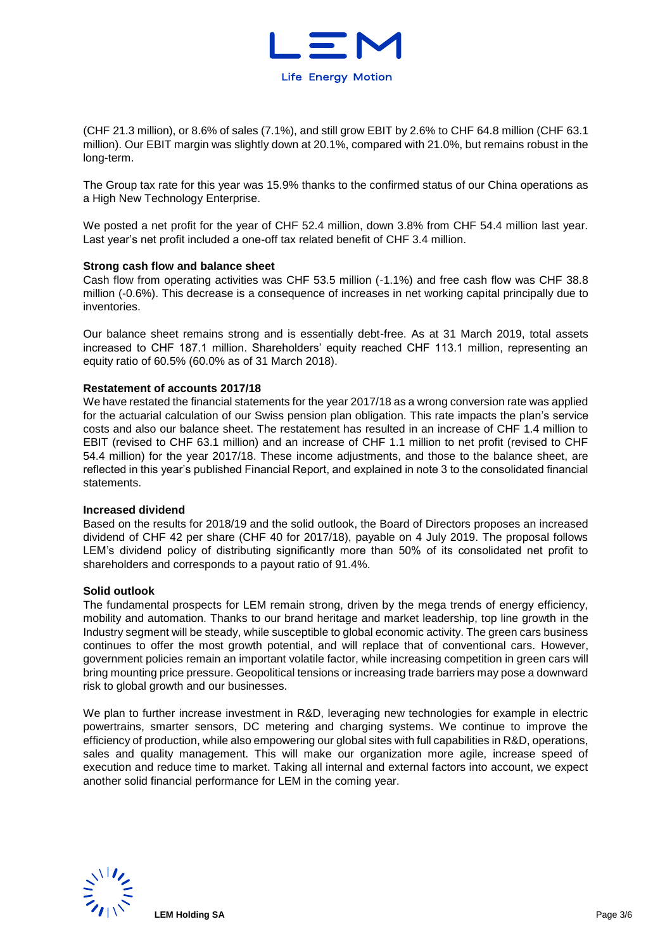

(CHF 21.3 million), or 8.6% of sales (7.1%), and still grow EBIT by 2.6% to CHF 64.8 million (CHF 63.1 million). Our EBIT margin was slightly down at 20.1%, compared with 21.0%, but remains robust in the long-term.

The Group tax rate for this year was 15.9% thanks to the confirmed status of our China operations as a High New Technology Enterprise.

We posted a net profit for the year of CHF 52.4 million, down 3.8% from CHF 54.4 million last year. Last year's net profit included a one-off tax related benefit of CHF 3.4 million.

#### **Strong cash flow and balance sheet**

Cash flow from operating activities was CHF 53.5 million (-1.1%) and free cash flow was CHF 38.8 million (-0.6%). This decrease is a consequence of increases in net working capital principally due to inventories.

Our balance sheet remains strong and is essentially debt-free. As at 31 March 2019, total assets increased to CHF 187.1 million. Shareholders' equity reached CHF 113.1 million, representing an equity ratio of 60.5% (60.0% as of 31 March 2018).

#### **Restatement of accounts 2017/18**

We have restated the financial statements for the year 2017/18 as a wrong conversion rate was applied for the actuarial calculation of our Swiss pension plan obligation. This rate impacts the plan's service costs and also our balance sheet. The restatement has resulted in an increase of CHF 1.4 million to EBIT (revised to CHF 63.1 million) and an increase of CHF 1.1 million to net profit (revised to CHF 54.4 million) for the year 2017/18. These income adjustments, and those to the balance sheet, are reflected in this year's published Financial Report, and explained in note 3 to the consolidated financial statements.

#### **Increased dividend**

Based on the results for 2018/19 and the solid outlook, the Board of Directors proposes an increased dividend of CHF 42 per share (CHF 40 for 2017/18), payable on 4 July 2019. The proposal follows LEM's dividend policy of distributing significantly more than 50% of its consolidated net profit to shareholders and corresponds to a payout ratio of 91.4%.

#### **Solid outlook**

The fundamental prospects for LEM remain strong, driven by the mega trends of energy efficiency, mobility and automation. Thanks to our brand heritage and market leadership, top line growth in the Industry segment will be steady, while susceptible to global economic activity. The green cars business continues to offer the most growth potential, and will replace that of conventional cars. However, government policies remain an important volatile factor, while increasing competition in green cars will bring mounting price pressure. Geopolitical tensions or increasing trade barriers may pose a downward risk to global growth and our businesses.

We plan to further increase investment in R&D, leveraging new technologies for example in electric powertrains, smarter sensors, DC metering and charging systems. We continue to improve the efficiency of production, while also empowering our global sites with full capabilities in R&D, operations, sales and quality management. This will make our organization more agile, increase speed of execution and reduce time to market. Taking all internal and external factors into account, we expect another solid financial performance for LEM in the coming year.

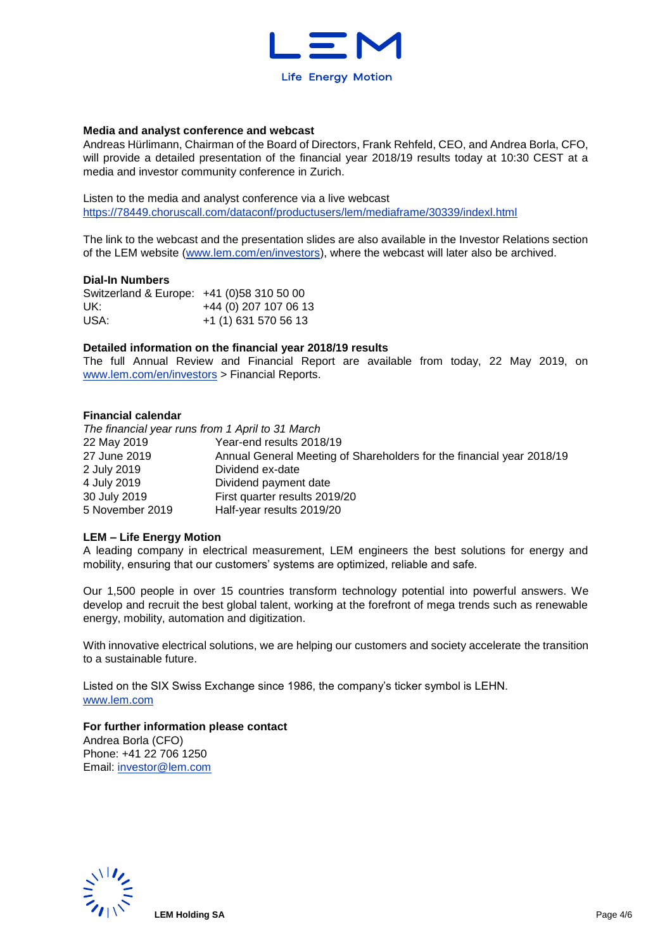

#### **Media and analyst conference and webcast**

Andreas Hürlimann, Chairman of the Board of Directors, Frank Rehfeld, CEO, and Andrea Borla, CFO, will provide a detailed presentation of the financial year 2018/19 results today at 10:30 CEST at a media and investor community conference in Zurich.

Listen to the media and analyst conference via a live webcast <https://78449.choruscall.com/dataconf/productusers/lem/mediaframe/30339/indexl.html>

The link to the webcast and the presentation slides are also available in the Investor Relations section of the LEM website [\(www.lem.com/en/investors\)](http://www.lem.com/en/investors), where the webcast will later also be archived.

### **Dial-In Numbers**

| Switzerland & Europe: +41 (0)58 310 50 00 |                       |
|-------------------------------------------|-----------------------|
| UK:                                       | +44 (0) 207 107 06 13 |
| USA:                                      | +1 (1) 631 570 56 13  |

#### **Detailed information on the financial year 2018/19 results**

The full Annual Review and Financial Report are available from today, 22 May 2019, on [www.lem.com/en/investors](http://www.lem.com/en/investors) > Financial Reports.

#### **Financial calendar**

*The financial year runs from 1 April to 31 March* 22 May 2019 Year-end results 2018/19 27 June 2019 Annual General Meeting of Shareholders for the financial year 2018/19 2 July 2019 Dividend ex-date 4 July 2019 Dividend payment date 30 July 2019 First quarter results 2019/20 5 November 2019 Half-year results 2019/20

#### **LEM – Life Energy Motion**

A leading company in electrical measurement, LEM engineers the best solutions for energy and mobility, ensuring that our customers' systems are optimized, reliable and safe.

Our 1,500 people in over 15 countries transform technology potential into powerful answers. We develop and recruit the best global talent, working at the forefront of mega trends such as renewable energy, mobility, automation and digitization.

With innovative electrical solutions, we are helping our customers and society accelerate the transition to a sustainable future.

Listed on the SIX Swiss Exchange since 1986, the company's ticker symbol is LEHN. [www.lem.com](http://www.lem.com/) 

#### **For further information please contact**

Andrea Borla (CFO) Phone: +41 22 706 1250 Email: [investor@lem.com](mailto:investor@lem.com) 

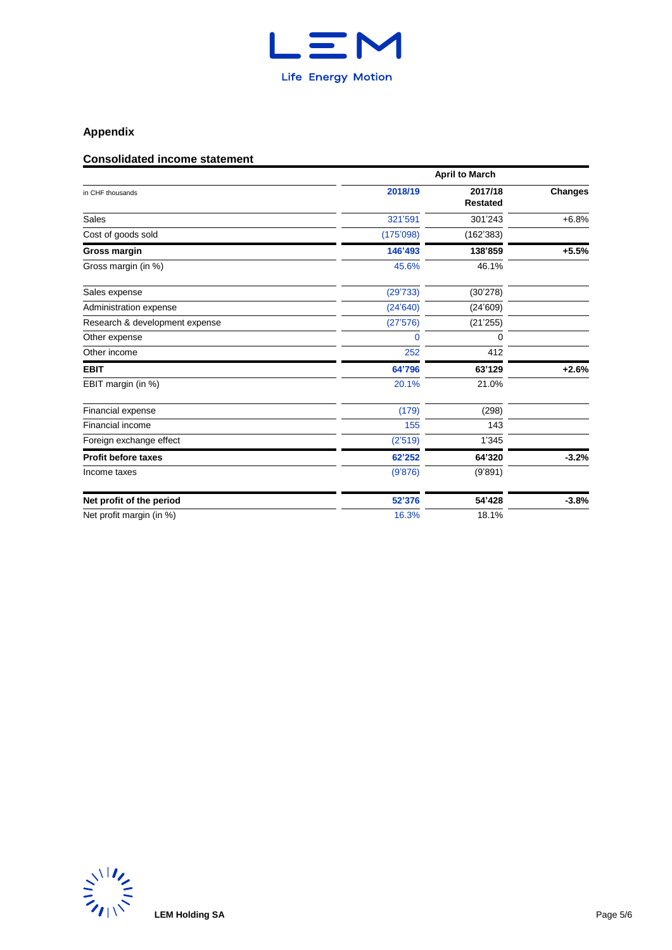

# **Appendix**

# **Consolidated income statement**

|                                | <b>April to March</b> |                            |                |  |  |  |  |
|--------------------------------|-----------------------|----------------------------|----------------|--|--|--|--|
| in CHF thousands               | 2018/19               | 2017/18<br><b>Restated</b> | <b>Changes</b> |  |  |  |  |
| Sales                          | 321'591               | 301'243                    | $+6.8%$        |  |  |  |  |
| Cost of goods sold             | (175'098)             | (162'383)                  |                |  |  |  |  |
| <b>Gross margin</b>            | 146'493               | 138'859                    | $+5.5%$        |  |  |  |  |
| Gross margin (in %)            | 45.6%                 | 46.1%                      |                |  |  |  |  |
| Sales expense                  | (29'733)              | (30'278)                   |                |  |  |  |  |
| Administration expense         | (24'640)              | (24'609)                   |                |  |  |  |  |
| Research & development expense | (27'576)              | (21'255)                   |                |  |  |  |  |
| Other expense                  | 0                     | 0                          |                |  |  |  |  |
| Other income                   | 252                   | 412                        |                |  |  |  |  |
| <b>EBIT</b>                    | 64'796                | 63'129                     | $+2.6%$        |  |  |  |  |
| EBIT margin (in %)             | 20.1%                 | 21.0%                      |                |  |  |  |  |
| Financial expense              | (179)                 | (298)                      |                |  |  |  |  |
| Financial income               | 155                   | 143                        |                |  |  |  |  |
| Foreign exchange effect        | (2'519)               | 1'345                      |                |  |  |  |  |
| <b>Profit before taxes</b>     | 62'252                | 64'320                     | $-3.2%$        |  |  |  |  |
| Income taxes                   | (9'876)               | (9'891)                    |                |  |  |  |  |
| Net profit of the period       | 52'376                | 54'428                     | $-3.8%$        |  |  |  |  |
| Net profit margin (in %)       | 16.3%                 | 18.1%                      |                |  |  |  |  |